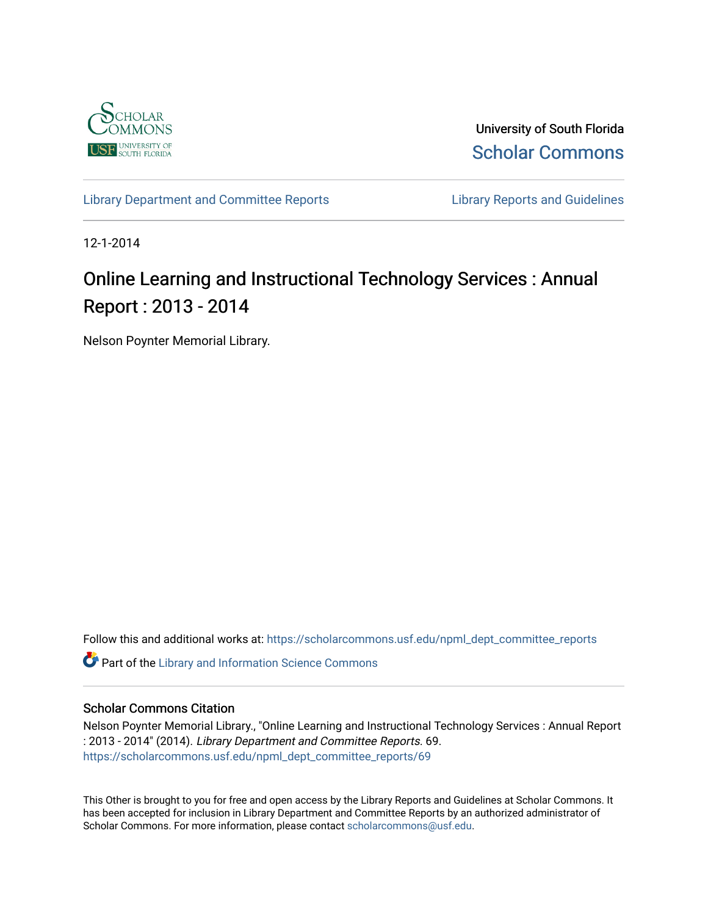

University of South Florida [Scholar Commons](https://scholarcommons.usf.edu/) 

[Library Department and Committee Reports](https://scholarcommons.usf.edu/npml_dept_committee_reports) **Library Reports and Guidelines** 

12-1-2014

# Online Learning and Instructional Technology Services : Annual Report : 2013 - 2014

Nelson Poynter Memorial Library.

Follow this and additional works at: [https://scholarcommons.usf.edu/npml\\_dept\\_committee\\_reports](https://scholarcommons.usf.edu/npml_dept_committee_reports?utm_source=scholarcommons.usf.edu%2Fnpml_dept_committee_reports%2F69&utm_medium=PDF&utm_campaign=PDFCoverPages)

Part of the [Library and Information Science Commons](http://network.bepress.com/hgg/discipline/1018?utm_source=scholarcommons.usf.edu%2Fnpml_dept_committee_reports%2F69&utm_medium=PDF&utm_campaign=PDFCoverPages) 

#### Scholar Commons Citation

Nelson Poynter Memorial Library., "Online Learning and Instructional Technology Services : Annual Report : 2013 - 2014" (2014). Library Department and Committee Reports. 69. [https://scholarcommons.usf.edu/npml\\_dept\\_committee\\_reports/69](https://scholarcommons.usf.edu/npml_dept_committee_reports/69?utm_source=scholarcommons.usf.edu%2Fnpml_dept_committee_reports%2F69&utm_medium=PDF&utm_campaign=PDFCoverPages) 

This Other is brought to you for free and open access by the Library Reports and Guidelines at Scholar Commons. It has been accepted for inclusion in Library Department and Committee Reports by an authorized administrator of Scholar Commons. For more information, please contact [scholarcommons@usf.edu](mailto:scholarcommons@usf.edu).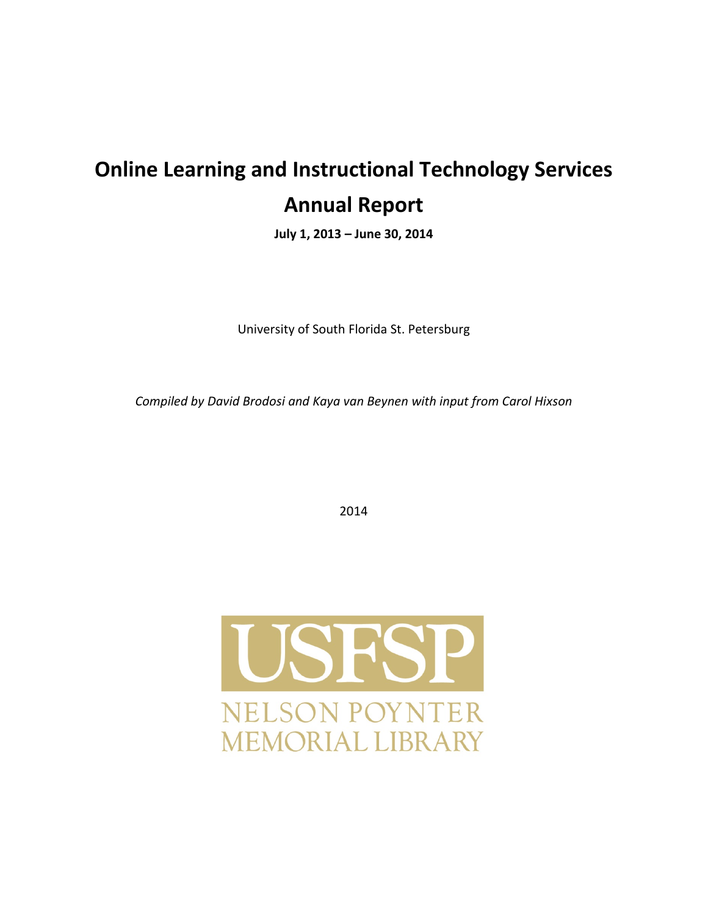# **Online Learning and Instructional Technology Services Annual Report**

**July 1, 2013 – June 30, 2014**

University of South Florida St. Petersburg

*Compiled by David Brodosi and Kaya van Beynen with input from Carol Hixson* 

2014

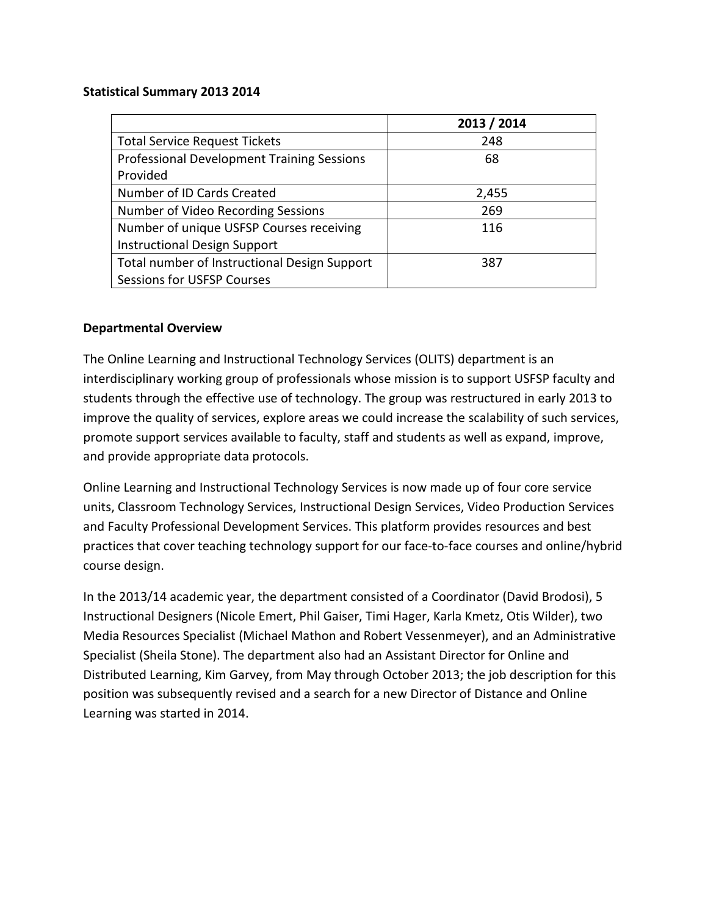#### **Statistical Summary 2013 2014**

|                                                   | 2013 / 2014 |
|---------------------------------------------------|-------------|
| <b>Total Service Request Tickets</b>              | 248         |
| <b>Professional Development Training Sessions</b> | 68          |
| Provided                                          |             |
| Number of ID Cards Created                        | 2,455       |
| Number of Video Recording Sessions                | 269         |
| Number of unique USFSP Courses receiving          | 116         |
| <b>Instructional Design Support</b>               |             |
| Total number of Instructional Design Support      | 387         |
| <b>Sessions for USFSP Courses</b>                 |             |

# **Departmental Overview**

The Online Learning and Instructional Technology Services (OLITS) department is an interdisciplinary working group of professionals whose mission is to support USFSP faculty and students through the effective use of technology. The group was restructured in early 2013 to improve the quality of services, explore areas we could increase the scalability of such services, promote support services available to faculty, staff and students as well as expand, improve, and provide appropriate data protocols.

Online Learning and Instructional Technology Services is now made up of four core service units, Classroom Technology Services, Instructional Design Services, Video Production Services and Faculty Professional Development Services. This platform provides resources and best practices that cover teaching technology support for our face-to-face courses and online/hybrid course design.

In the 2013/14 academic year, the department consisted of a Coordinator (David Brodosi), 5 Instructional Designers (Nicole Emert, Phil Gaiser, Timi Hager, Karla Kmetz, Otis Wilder), two Media Resources Specialist (Michael Mathon and Robert Vessenmeyer), and an Administrative Specialist (Sheila Stone). The department also had an Assistant Director for Online and Distributed Learning, Kim Garvey, from May through October 2013; the job description for this position was subsequently revised and a search for a new Director of Distance and Online Learning was started in 2014.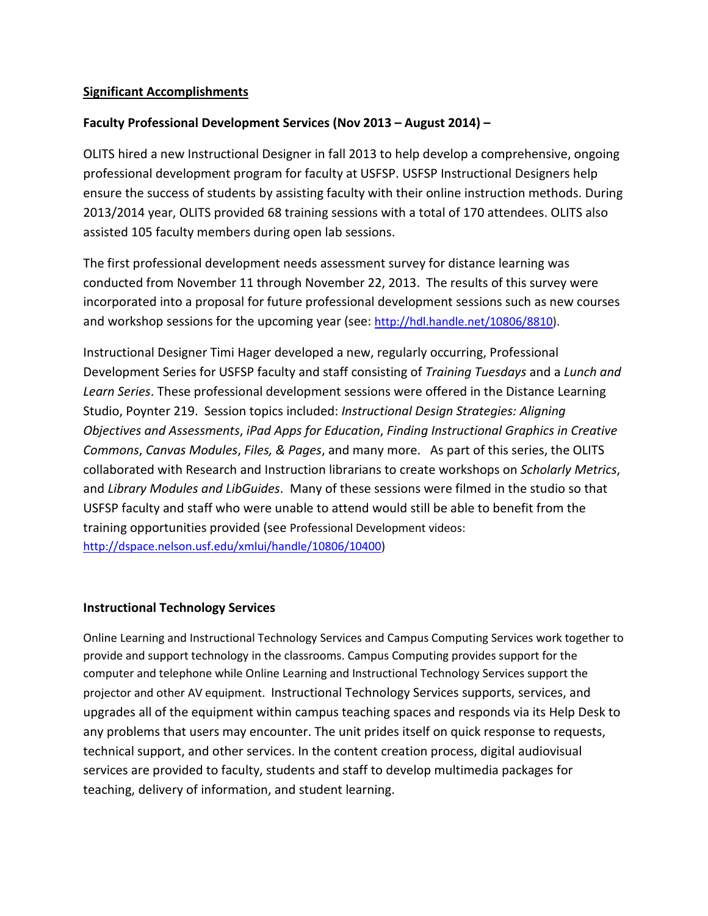# **Significant Accomplishments**

# **Faculty Professional Development Services (Nov 2013 – August 2014) –**

OLITS hired a new Instructional Designer in fall 2013 to help develop a comprehensive, ongoing professional development program for faculty at USFSP. USFSP Instructional Designers help ensure the success of students by assisting faculty with their online instruction methods. During 2013/2014 year, OLITS provided 68 training sessions with a total of 170 attendees. OLITS also assisted 105 faculty members during open lab sessions.

The first professional development needs assessment survey for distance learning was conducted from November 11 through November 22, 2013. The results of this survey were incorporated into a proposal for future professional development sessions such as new courses and workshop sessions for the upcoming year (see: [http://hdl.handle.net/10806/8810\)](http://hdl.handle.net/10806/8810).

Instructional Designer Timi Hager developed a new, regularly occurring, Professional Development Series for USFSP faculty and staff consisting of *Training Tuesdays* and a *Lunch and Learn Series*. These professional development sessions were offered in the Distance Learning Studio, Poynter 219. Session topics included: *Instructional Design Strategies: Aligning Objectives and Assessments*, *iPad Apps for Education*, *Finding Instructional Graphics in Creative Commons*, *Canvas Modules*, *Files, & Pages*, and many more. As part of this series, the OLITS collaborated with Research and Instruction librarians to create workshops on *Scholarly Metrics*, and *Library Modules and LibGuides*. Many of these sessions were filmed in the studio so that USFSP faculty and staff who were unable to attend would still be able to benefit from the training opportunities provided (see Professional Development videos: [http://dspace.nelson.usf.edu/xmlui/handle/10806/10400\)](http://dspace.nelson.usf.edu/xmlui/handle/10806/10400)

### **Instructional Technology Services**

Online Learning and Instructional Technology Services and Campus Computing Services work together to provide and support technology in the classrooms. Campus Computing provides support for the computer and telephone while Online Learning and Instructional Technology Services support the projector and other AV equipment. Instructional Technology Services supports, services, and upgrades all of the equipment within campus teaching spaces and responds via its Help Desk to any problems that users may encounter. The unit prides itself on quick response to requests, technical support, and other services. In the content creation process, digital audiovisual services are provided to faculty, students and staff to develop multimedia packages for teaching, delivery of information, and student learning.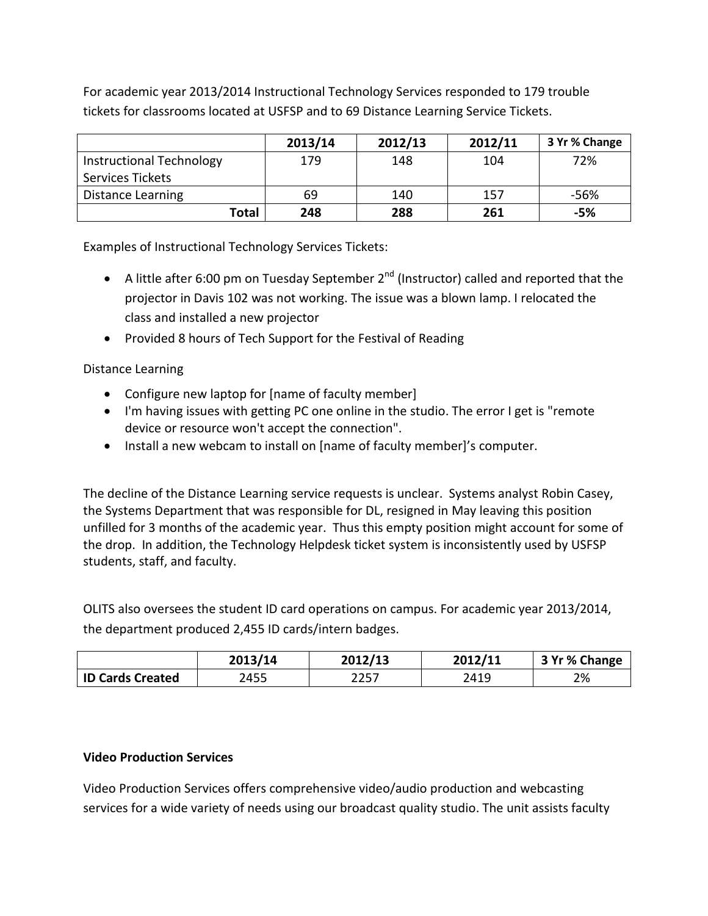For academic year 2013/2014 Instructional Technology Services responded to 179 trouble tickets for classrooms located at USFSP and to 69 Distance Learning Service Tickets.

|                          | 2013/14 | 2012/13 | 2012/11 | 3 Yr % Change |
|--------------------------|---------|---------|---------|---------------|
| Instructional Technology | 179     | 148     | 104     | 72%           |
| Services Tickets         |         |         |         |               |
| Distance Learning        | 69      | 140     | 157     | -56%          |
| Total                    | 248     | 288     | 261     | -5%           |

Examples of Instructional Technology Services Tickets:

- A little after 6:00 pm on Tuesday September  $2^{nd}$  (Instructor) called and reported that the projector in Davis 102 was not working. The issue was a blown lamp. I relocated the class and installed a new projector
- Provided 8 hours of Tech Support for the Festival of Reading

Distance Learning

- Configure new laptop for [name of faculty member]
- I'm having issues with getting PC one online in the studio. The error I get is "remote device or resource won't accept the connection".
- Install a new webcam to install on [name of faculty member]'s computer.

The decline of the Distance Learning service requests is unclear. Systems analyst Robin Casey, the Systems Department that was responsible for DL, resigned in May leaving this position unfilled for 3 months of the academic year. Thus this empty position might account for some of the drop. In addition, the Technology Helpdesk ticket system is inconsistently used by USFSP students, staff, and faculty.

OLITS also oversees the student ID card operations on campus. For academic year 2013/2014, the department produced 2,455 ID cards/intern badges.

|                         | 2013/14 | 2012/13 | 2012/11 | 3 Yr % Change |
|-------------------------|---------|---------|---------|---------------|
| <b>ID Cards Created</b> | 2455    | 2257    | 2419    | 2%            |

# **Video Production Services**

Video Production Services offers comprehensive video/audio production and webcasting services for a wide variety of needs using our broadcast quality studio. The unit assists faculty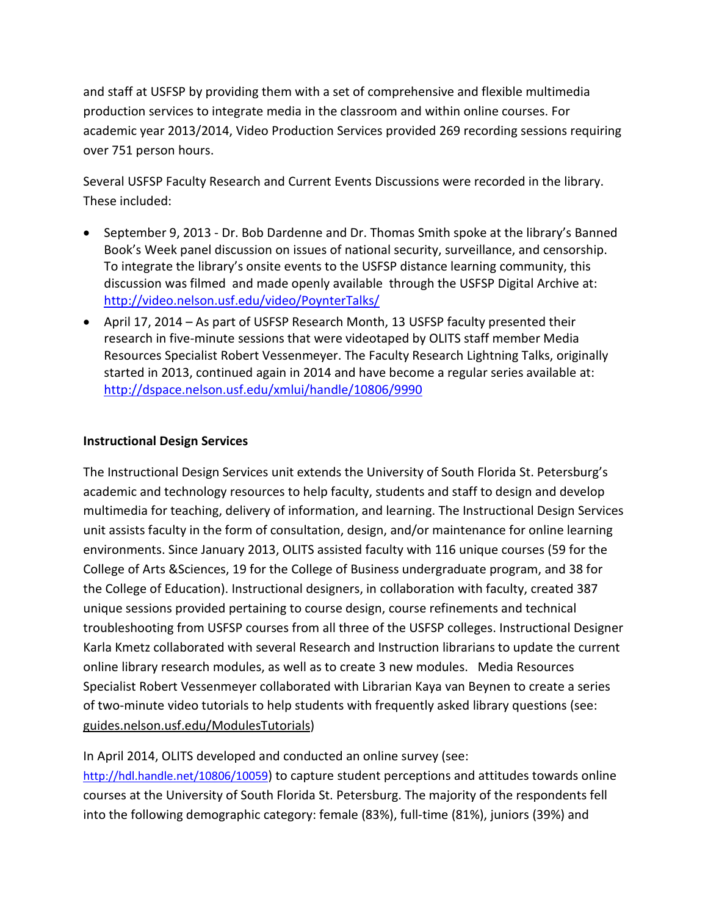and staff at USFSP by providing them with a set of comprehensive and flexible multimedia production services to integrate media in the classroom and within online courses. For academic year 2013/2014, Video Production Services provided 269 recording sessions requiring over 751 person hours.

Several USFSP Faculty Research and Current Events Discussions were recorded in the library. These included:

- September 9, 2013 Dr. Bob Dardenne and Dr. Thomas Smith spoke at the library's Banned Book's Week panel discussion on issues of national security, surveillance, and censorship. To integrate the library's onsite events to the USFSP distance learning community, this discussion was filmed and made openly available through the USFSP Digital Archive at: <http://video.nelson.usf.edu/video/PoynterTalks/>
- April 17, 2014 As part of USFSP Research Month, 13 USFSP faculty presented their research in five-minute sessions that were videotaped by OLITS staff member Media Resources Specialist Robert Vessenmeyer. The Faculty Research Lightning Talks, originally started in 2013, continued again in 2014 and have become a regular series available at: <http://dspace.nelson.usf.edu/xmlui/handle/10806/9990>

# **Instructional Design Services**

The Instructional Design Services unit extends the University of South Florida St. Petersburg's academic and technology resources to help faculty, students and staff to design and develop multimedia for teaching, delivery of information, and learning. The Instructional Design Services unit assists faculty in the form of consultation, design, and/or maintenance for online learning environments. Since January 2013, OLITS assisted faculty with 116 unique courses (59 for the College of Arts &Sciences, 19 for the College of Business undergraduate program, and 38 for the College of Education). Instructional designers, in collaboration with faculty, created 387 unique sessions provided pertaining to course design, course refinements and technical troubleshooting from USFSP courses from all three of the USFSP colleges. Instructional Designer Karla Kmetz collaborated with several Research and Instruction librarians to update the current online library research modules, as well as to create 3 new modules. Media Resources Specialist Robert Vessenmeyer collaborated with Librarian Kaya van Beynen to create a series of two-minute video tutorials to help students with frequently asked library questions (see: [guides.nelson.usf.edu/ModulesTutorials\)](http://guides.nelson.usf.edu/ModulesTutorials)

In April 2014, OLITS developed and conducted an online survey (see: [http://hdl.handle.net/10806/10059\)](http://hdl.handle.net/10806/10059) to capture student perceptions and attitudes towards online courses at the University of South Florida St. Petersburg. The majority of the respondents fell into the following demographic category: female (83%), full-time (81%), juniors (39%) and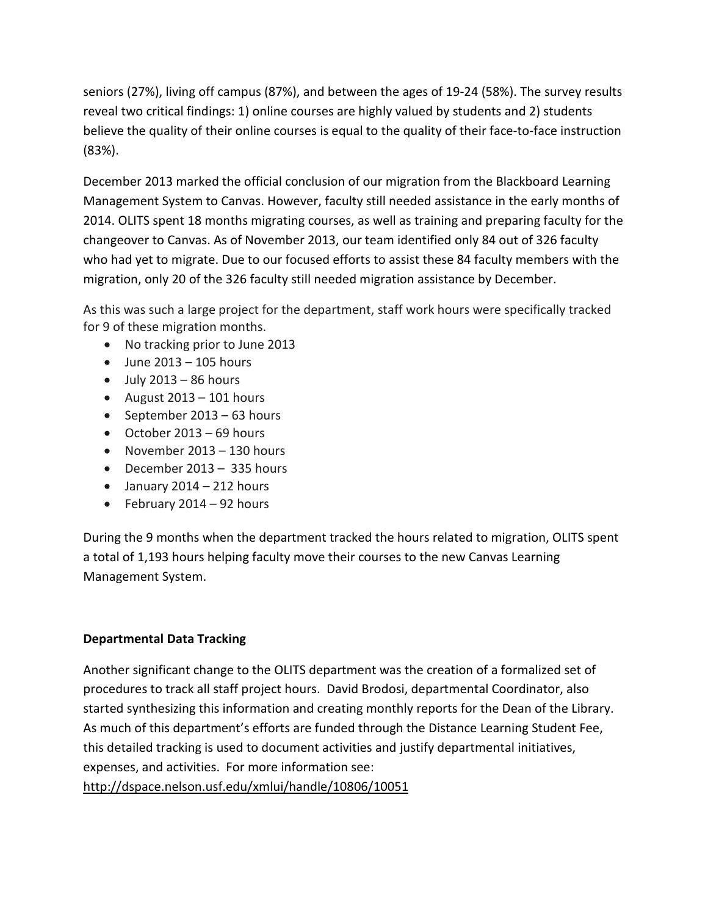seniors (27%), living off campus (87%), and between the ages of 19-24 (58%). The survey results reveal two critical findings: 1) online courses are highly valued by students and 2) students believe the quality of their online courses is equal to the quality of their face-to-face instruction (83%).

December 2013 marked the official conclusion of our migration from the Blackboard Learning Management System to Canvas. However, faculty still needed assistance in the early months of 2014. OLITS spent 18 months migrating courses, as well as training and preparing faculty for the changeover to Canvas. As of November 2013, our team identified only 84 out of 326 faculty who had yet to migrate. Due to our focused efforts to assist these 84 faculty members with the migration, only 20 of the 326 faculty still needed migration assistance by December.

As this was such a large project for the department, staff work hours were specifically tracked for 9 of these migration months.

- No tracking prior to June 2013
- $\bullet$  June 2013 105 hours
- $\bullet$  July 2013 86 hours
- August 2013 101 hours
- September 2013 63 hours
- October 2013 69 hours
- November 2013 130 hours
- December 2013 335 hours
- $\bullet$  January 2014 212 hours
- February 2014 92 hours

During the 9 months when the department tracked the hours related to migration, OLITS spent a total of 1,193 hours helping faculty move their courses to the new Canvas Learning Management System.

# **Departmental Data Tracking**

Another significant change to the OLITS department was the creation of a formalized set of procedures to track all staff project hours. David Brodosi, departmental Coordinator, also started synthesizing this information and creating monthly reports for the Dean of the Library. As much of this department's efforts are funded through the Distance Learning Student Fee, this detailed tracking is used to document activities and justify departmental initiatives, expenses, and activities. For more information see:

<http://dspace.nelson.usf.edu/xmlui/handle/10806/10051>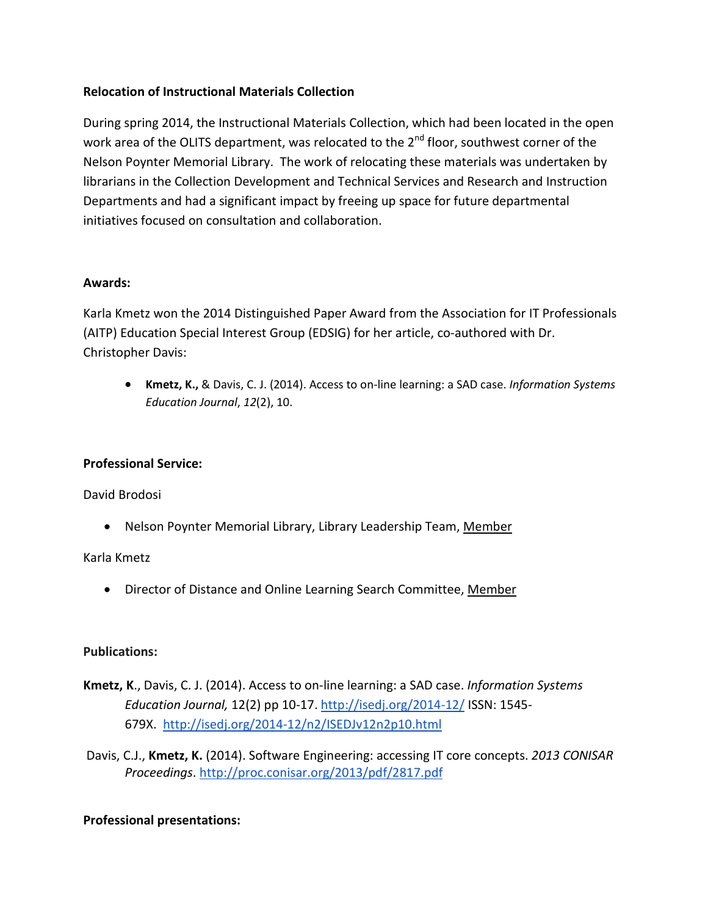# **Relocation of Instructional Materials Collection**

During spring 2014, the Instructional Materials Collection, which had been located in the open work area of the OLITS department, was relocated to the  $2^{nd}$  floor, southwest corner of the Nelson Poynter Memorial Library. The work of relocating these materials was undertaken by librarians in the Collection Development and Technical Services and Research and Instruction Departments and had a significant impact by freeing up space for future departmental initiatives focused on consultation and collaboration.

### **Awards:**

Karla Kmetz won the 2014 Distinguished Paper Award from the Association for IT Professionals (AITP) Education Special Interest Group (EDSIG) for her article, co-authored with Dr. Christopher Davis:

• **Kmetz, K.,** & Davis, C. J. (2014). Access to on-line learning: a SAD case. *Information Systems Education Journal*, *12*(2), 10.

### **Professional Service:**

David Brodosi

• Nelson Poynter Memorial Library, Library Leadership Team, Member

Karla Kmetz

• Director of Distance and Online Learning Search Committee, Member

### **Publications:**

- **Kmetz, K**., Davis, C. J. (2014). Access to on-line learning: a SAD case. *Information Systems Education Journal,* 12(2) pp 10-17. <http://isedj.org/2014-12/> ISSN: 1545- 679X. <http://isedj.org/2014-12/n2/ISEDJv12n2p10.html>
- Davis, C.J., **Kmetz, K.** (2014). Software Engineering: accessing IT core concepts. *2013 CONISAR Proceedings*. <http://proc.conisar.org/2013/pdf/2817.pdf>

### **Professional presentations:**